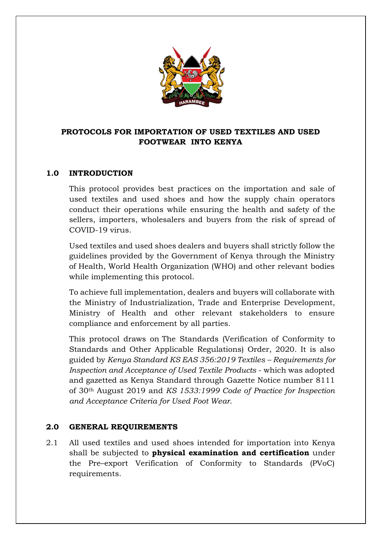

# **PROTOCOLS FOR IMPORTATION OF USED TEXTILES AND USED FOOTWEAR INTO KENYA**

### **1.0 INTRODUCTION**

This protocol provides best practices on the importation and sale of used textiles and used shoes and how the supply chain operators conduct their operations while ensuring the health and safety of the sellers, importers, wholesalers and buyers from the risk of spread of COVID-19 virus.

Used textiles and used shoes dealers and buyers shall strictly follow the guidelines provided by the Government of Kenya through the Ministry of Health, World Health Organization (WHO) and other relevant bodies while implementing this protocol.

To achieve full implementation, dealers and buyers will collaborate with the Ministry of Industrialization, Trade and Enterprise Development, Ministry of Health and other relevant stakeholders to ensure compliance and enforcement by all parties.

This protocol draws on The Standards (Verification of Conformity to Standards and Other Applicable Regulations) Order, 2020. It is also guided by *Kenya Standard KS EAS 356:2019 Textiles – Requirements for Inspection and Acceptance of Used Textile Products* - which was adopted and gazetted as Kenya Standard through Gazette Notice number 8111 of 30th August 2019 and *KS 1533:1999 Code of Practice for Inspection and Acceptance Criteria for Used Foot Wear*.

### **2.0 GENERAL REQUIREMENTS**

2.1 All used textiles and used shoes intended for importation into Kenya shall be subjected to **physical examination and certification** under the Pre–export Verification of Conformity to Standards (PVoC) requirements.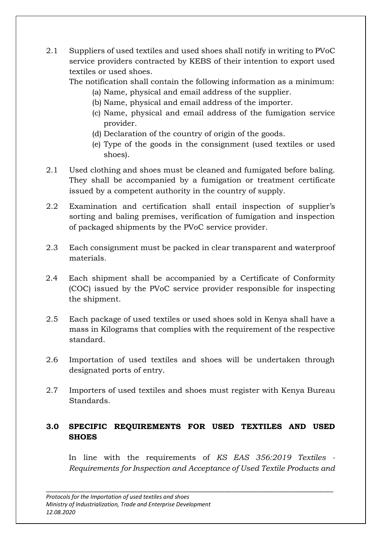2.1 Suppliers of used textiles and used shoes shall notify in writing to PVoC service providers contracted by KEBS of their intention to export used textiles or used shoes.

The notification shall contain the following information as a minimum:

- (a) Name, physical and email address of the supplier.
- (b) Name, physical and email address of the importer.
- (c) Name, physical and email address of the fumigation service provider.
- (d) Declaration of the country of origin of the goods.
- (e) Type of the goods in the consignment (used textiles or used shoes).
- 2.1 Used clothing and shoes must be cleaned and fumigated before baling. They shall be accompanied by a fumigation or treatment certificate issued by a competent authority in the country of supply.
- 2.2 Examination and certification shall entail inspection of supplier's sorting and baling premises, verification of fumigation and inspection of packaged shipments by the PVoC service provider.
- 2.3 Each consignment must be packed in clear transparent and waterproof materials.
- 2.4 Each shipment shall be accompanied by a Certificate of Conformity (COC) issued by the PVoC service provider responsible for inspecting the shipment.
- 2.5 Each package of used textiles or used shoes sold in Kenya shall have a mass in Kilograms that complies with the requirement of the respective standard.
- 2.6 Importation of used textiles and shoes will be undertaken through designated ports of entry.
- 2.7 Importers of used textiles and shoes must register with Kenya Bureau Standards.

# **3.0 SPECIFIC REQUIREMENTS FOR USED TEXTILES AND USED SHOES**

In line with the requirements of *KS EAS 356:2019 Textiles - Requirements for Inspection and Acceptance of Used Textile Products and*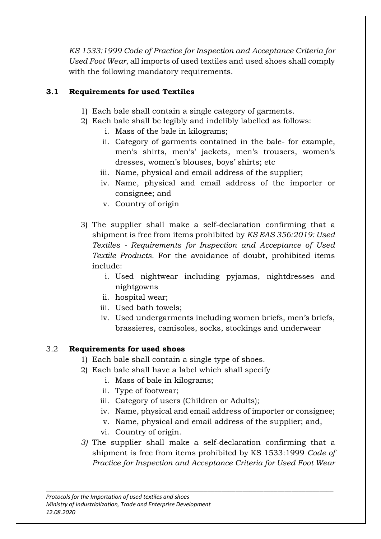*KS 1533:1999 Code of Practice for Inspection and Acceptance Criteria for Used Foot Wear*, all imports of used textiles and used shoes shall comply with the following mandatory requirements.

# **3.1 Requirements for used Textiles**

- 1) Each bale shall contain a single category of garments.
- 2) Each bale shall be legibly and indelibly labelled as follows:
	- i. Mass of the bale in kilograms;
	- ii. Category of garments contained in the bale- for example, men's shirts, men's' jackets, men's trousers, women's dresses, women's blouses, boys' shirts; etc
	- iii. Name, physical and email address of the supplier;
	- iv. Name, physical and email address of the importer or consignee; and
	- v. Country of origin
- 3) The supplier shall make a self-declaration confirming that a shipment is free from items prohibited by *KS EAS 356:2019: Used Textiles - Requirements for Inspection and Acceptance of Used Textile Products.* For the avoidance of doubt, prohibited items include:
	- i. Used nightwear including pyjamas, nightdresses and nightgowns
	- ii. hospital wear;
	- iii. Used bath towels;
	- iv. Used undergarments including women briefs, men's briefs, brassieres, camisoles, socks, stockings and underwear

# 3.2 **Requirements for used shoes**

- 1) Each bale shall contain a single type of shoes.
- 2) Each bale shall have a label which shall specify
	- i. Mass of bale in kilograms;
	- ii. Type of footwear;
	- iii. Category of users (Children or Adults);
	- iv. Name, physical and email address of importer or consignee;
	- v. Name, physical and email address of the supplier; and,
	- vi. Country of origin.
- *3)* The supplier shall make a self-declaration confirming that a shipment is free from items prohibited by KS 1533:1999 *Code of Practice for Inspection and Acceptance Criteria for Used Foot Wear*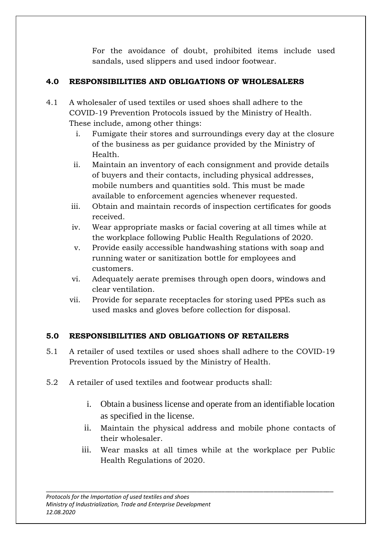For the avoidance of doubt, prohibited items include used sandals, used slippers and used indoor footwear.

# **4.0 RESPONSIBILITIES AND OBLIGATIONS OF WHOLESALERS**

- 4.1 A wholesaler of used textiles or used shoes shall adhere to the COVID-19 Prevention Protocols issued by the Ministry of Health. These include, among other things:
	- i. Fumigate their stores and surroundings every day at the closure of the business as per guidance provided by the Ministry of Health.
	- ii. Maintain an inventory of each consignment and provide details of buyers and their contacts, including physical addresses, mobile numbers and quantities sold. This must be made available to enforcement agencies whenever requested.
	- iii. Obtain and maintain records of inspection certificates for goods received.
	- iv. Wear appropriate masks or facial covering at all times while at the workplace following Public Health Regulations of 2020.
	- v. Provide easily accessible handwashing stations with soap and running water or sanitization bottle for employees and customers.
	- vi. Adequately aerate premises through open doors, windows and clear ventilation.
	- vii. Provide for separate receptacles for storing used PPEs such as used masks and gloves before collection for disposal.

# **5.0 RESPONSIBILITIES AND OBLIGATIONS OF RETAILERS**

- 5.1 A retailer of used textiles or used shoes shall adhere to the COVID-19 Prevention Protocols issued by the Ministry of Health.
- 5.2 A retailer of used textiles and footwear products shall:
	- i. Obtain a business license and operate from an identifiable location as specified in the license.
	- ii. Maintain the physical address and mobile phone contacts of their wholesaler.
	- iii. Wear masks at all times while at the workplace per Public Health Regulations of 2020.

\_\_\_\_\_\_\_\_\_\_\_\_\_\_\_\_\_\_\_\_\_\_\_\_\_\_\_\_\_\_\_\_\_\_\_\_\_\_\_\_\_\_\_\_\_\_\_\_\_\_\_\_\_\_\_\_\_\_\_\_\_\_\_\_\_\_\_\_\_\_\_\_\_\_\_\_\_\_\_\_\_\_